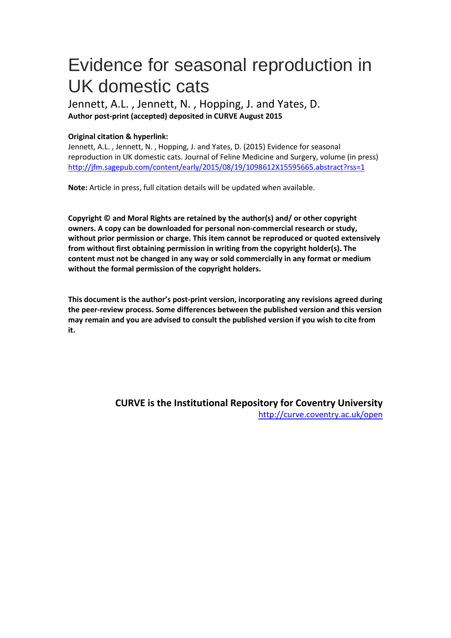# Evidence for seasonal reproduction in UK domestic cats

Jennett, A.L. , Jennett, N. , Hopping, J. and Yates, D. **Author post-print (accepted) deposited in CURVE August 2015**

#### **Original citation & hyperlink:**

Jennett, A.L. , Jennett, N. , Hopping, J. and Yates, D. (2015) Evidence for seasonal reproduction in UK domestic cats. Journal of Feline Medicine and Surgery, volume (in press) http://jfm.sagepub.com/content/early/2015/08/19/1098612X15595665.abstract?rss=1

**Note:** Article in press, full citation details will be updated when available.

**Copyright © and Moral Rights are retained by the author(s) and/ or other copyright owners. A copy can be downloaded for personal non-commercial research or study, without prior permission or charge. This item cannot be reproduced or quoted extensively from without first obtaining permission in writing from the copyright holder(s). The content must not be changed in any way or sold commercially in any format or medium without the formal permission of the copyright holders.** 

**This document is the author's post-print version, incorporating any revisions agreed during the peer-review process. Some differences between the published version and this version may remain and you are advised to consult the published version if you wish to cite from it.** 

> **CURVE is the Institutional Repository for Coventry University** <http://curve.coventry.ac.uk/open>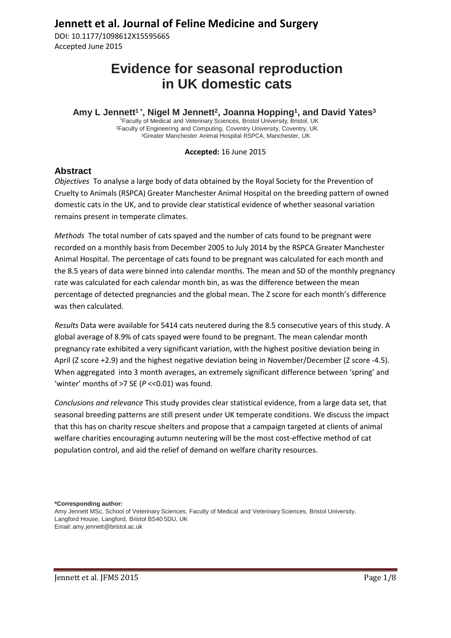DOI: 10.1177/1098612X15595665 Accepted June 2015

## **Evidence for seasonal reproduction in UK domestic cats**

**Amy L Jennett1 \* , Nigel M Jennett2, Joanna Hopping1, and David Yates3**

<sup>1</sup> Faculty of Medical and Veterinary Sciences, Bristol University, Bristol, UK 2Faculty of Engineering and Computing, Coventry University, Coventry, UK 3Greater Manchester Animal Hospital RSPCA, Manchester, UK

**Accepted:** 16 June 2015

#### **Abstract**

*Objectives* To analyse a large body of data obtained by the Royal Society for the Prevention of Cruelty to Animals (RSPCA) Greater Manchester Animal Hospital on the breeding pattern of owned domestic cats in the UK, and to provide clear statistical evidence of whether seasonal variation remains present in temperate climates.

*Methods* The total number of cats spayed and the number of cats found to be pregnant were recorded on a monthly basis from December 2005 to July 2014 by the RSPCA Greater Manchester Animal Hospital. The percentage of cats found to be pregnant was calculated for each month and the 8.5 years of data were binned into calendar months. The mean and SD of the monthly pregnancy rate was calculated for each calendar month bin, as was the difference between the mean percentage of detected pregnancies and the global mean. The Z score for each month's difference was then calculated.

*Results* Data were available for 5414 cats neutered during the 8.5 consecutive years of this study. A global average of 8.9% of cats spayed were found to be pregnant. The mean calendar month pregnancy rate exhibited a very significant variation, with the highest positive deviation being in April (Z score +2.9) and the highest negative deviation being in November/December (Z score -4.5). When aggregated into 3 month averages, an extremely significant difference between 'spring' and 'winter' months of >7 SE ( $P \ll 0.01$ ) was found.

*Conclusions and relevance* This study provides clear statistical evidence, from a large data set, that seasonal breeding patterns are still present under UK temperate conditions. We discuss the impact that this has on charity rescue shelters and propose that a campaign targeted at clients of animal welfare charities encouraging autumn neutering will be the most cost-effective method of cat population control, and aid the relief of demand on welfare charity resources.

**\*Corresponding author:**

Amy Jennett MSc, School of Veterinary Sciences, Faculty of Medical and Veterinary Sciences, Bristol University, Langford House, Langford, Bristol BS40 5DU, UK Email: [amy.jennett@bristol.ac.uk](mailto:amy.jennett@bristol.ac.uk)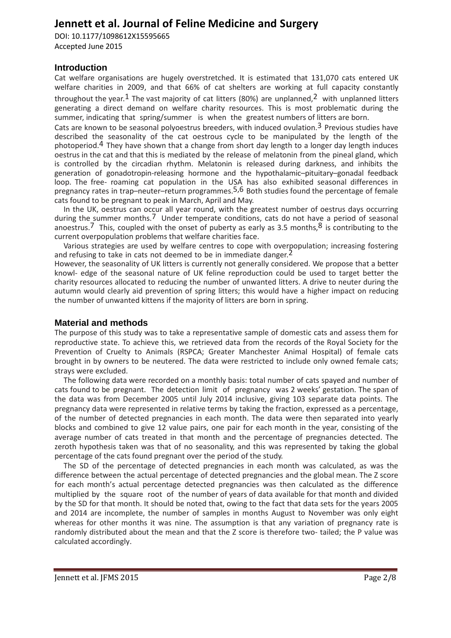DOI: 10.1177/1098612X15595665 Accepted June 2015

#### **Introduction**

Cat welfare organisations are hugely overstretched. It is estimated that 131,070 cats entered UK welfare charities in 2009, and that 66% of cat shelters are working at full capacity constantly throughout the year.<sup>1</sup> The vast majority of cat litters (80%) are unplanned,<sup>2</sup> with unplanned litters generating a direct demand on welfare charity resources. This is most problematic during the summer, indicating that spring/summer is when the greatest numbers of litters are born.

Cats are known to be seasonal polyoestrus breeders, with induced ovulation.3 Previous studies have described the seasonality of the cat oestrous cycle to be manipulated by the length of the photoperiod.4 They have shown that a change from short day length to a longer day length induces oestrus in the cat and that this is mediated by the release of melatonin from the pineal gland, which is controlled by the circadian rhythm. Melatonin is released during darkness, and inhibits the generation of gonadotropin-releasing hormone and the hypothalamic–pituitary–gonadal feedback loop. The free- roaming cat population in the USA has also exhibited seasonal differences in pregnancy rates in trap–neuter–return programmes.<sup>5,6</sup> Both studies found the percentage of female cats found to be pregnant to peak in March, April and May.

In the UK, oestrus can occur all year round, with the greatest number of oestrus days occurring during the summer months.7 Under temperate conditions, cats do not have a period of seasonal anoestrus.<sup>7</sup> This, coupled with the onset of puberty as early as 3.5 months,  $8$  is contributing to the current overpopulation problems that welfare charities face.

Various strategies are used by welfare centres to cope with overpopulation; increasing fostering and refusing to take in cats not deemed to be in immediate danger.<sup>2</sup>

However, the seasonality of UK litters is currently not generally considered. We propose that a better knowl- edge of the seasonal nature of UK feline reproduction could be used to target better the charity resources allocated to reducing the number of unwanted litters. A drive to neuter during the autumn would clearly aid prevention of spring litters; this would have a higher impact on reducing the number of unwanted kittens if the majority of litters are born in spring.

#### **Material and methods**

The purpose of this study was to take a representative sample of domestic cats and assess them for reproductive state. To achieve this, we retrieved data from the records of the Royal Society for the Prevention of Cruelty to Animals (RSPCA; Greater Manchester Animal Hospital) of female cats brought in by owners to be neutered. The data were restricted to include only owned female cats; strays were excluded.

The following data were recorded on a monthly basis: total number of cats spayed and number of cats found to be pregnant. The detection limit of pregnancy was 2 weeks' gestation. The span of the data was from December 2005 until July 2014 inclusive, giving 103 separate data points. The pregnancy data were represented in relative terms by taking the fraction, expressed as a percentage, of the number of detected pregnancies in each month. The data were then separated into yearly blocks and combined to give 12 value pairs, one pair for each month in the year, consisting of the average number of cats treated in that month and the percentage of pregnancies detected. The zeroth hypothesis taken was that of no seasonality, and this was represented by taking the global percentage of the cats found pregnant over the period of the study.

The SD of the percentage of detected pregnancies in each month was calculated, as was the difference between the actual percentage of detected pregnancies and the global mean. The Z score for each month's actual percentage detected pregnancies was then calculated as the difference multiplied by the square root of the number of years of data available for that month and divided by the SD for that month. It should be noted that, owing to the fact that data sets for the years 2005 and 2014 are incomplete, the number of samples in months August to November was only eight whereas for other months it was nine. The assumption is that any variation of pregnancy rate is randomly distributed about the mean and that the Z score is therefore two- tailed; the P value was calculated accordingly.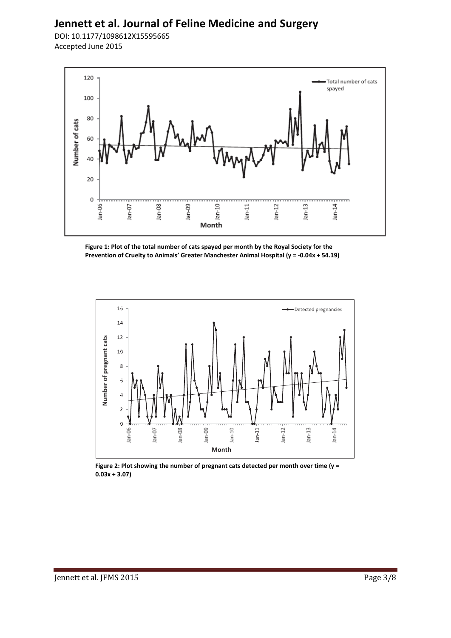DOI: 10.1177/1098612X15595665 Accepted June 2015



**Figure 1: Plot of the total number of cats spayed per month by the Royal Society for the Prevention of Cruelty to Animals' Greater Manchester Animal Hospital (y = -0.04x + 54.19)**



**Figure 2: Plot showing the number of pregnant cats detected per month over time (y = 0.03x + 3.07)**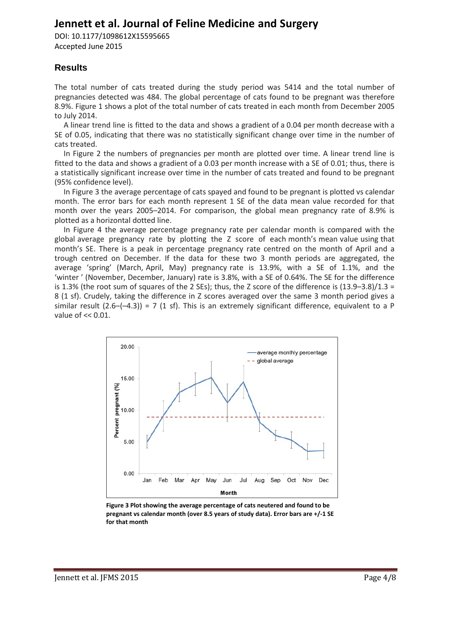DOI: 10.1177/1098612X15595665 Accepted June 2015

#### **Results**

The total number of cats treated during the study period was 5414 and the total number of pregnancies detected was 484. The global percentage of cats found to be pregnant was therefore 8.9%. Figure 1 shows a plot of the total number of cats treated in each month from December 2005 to July 2014.

A linear trend line is fitted to the data and shows a gradient of a 0.04 per month decrease with a SE of 0.05, indicating that there was no statistically significant change over time in the number of cats treated.

In Figure 2 the numbers of pregnancies per month are plotted over time. A linear trend line is fitted to the data and shows a gradient of a 0.03 per month increase with a SE of 0.01; thus, there is a statistically significant increase over time in the number of cats treated and found to be pregnant (95% confidence level).

In Figure 3 the average percentage of cats spayed and found to be pregnant is plotted vs calendar month. The error bars for each month represent 1 SE of the data mean value recorded for that month over the years 2005–2014. For comparison, the global mean pregnancy rate of 8.9% is plotted as a horizontal dotted line.

In Figure 4 the average percentage pregnancy rate per calendar month is compared with the global average pregnancy rate by plotting the Z score of each month's mean value using that month's SE. There is a peak in percentage pregnancy rate centred on the month of April and a trough centred on December. If the data for these two 3 month periods are aggregated, the average 'spring' (March, April, May) pregnancy rate is 13.9%, with a SE of 1.1%, and the 'winter ' (November, December, January) rate is 3.8%, with a SE of 0.64%. The SE for the difference is 1.3% (the root sum of squares of the 2 SEs); thus, the Z score of the difference is  $(13.9-3.8)/1.3 =$ 8 (1 sf). Crudely, taking the difference in Z scores averaged over the same 3 month period gives a similar result  $(2.6-(-4.3)) = 7$  (1 sf). This is an extremely significant difference, equivalent to a P value of << 0.01.



**Figure 3 Plot showing the average percentage of cats neutered and found to be pregnant vs calendar month (over 8.5 years of study data). Error bars are +/-1 SE for that month**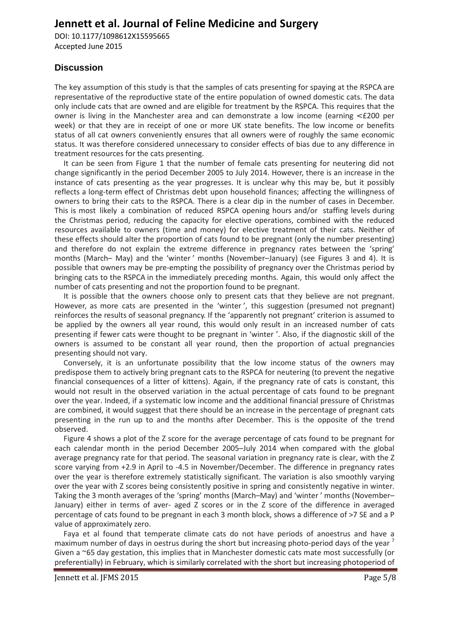DOI: 10.1177/1098612X15595665 Accepted June 2015

## **Discussion**

The key assumption of this study is that the samples of cats presenting for spaying at the RSPCA are representative of the reproductive state of the entire population of owned domestic cats. The data only include cats that are owned and are eligible for treatment by the RSPCA. This requires that the owner is living in the Manchester area and can demonstrate a low income (earning <£200 per week) or that they are in receipt of one or more UK state benefits. The low income or benefits status of all cat owners conveniently ensures that all owners were of roughly the same economic status. It was therefore considered unnecessary to consider effects of bias due to any difference in treatment resources for the cats presenting.

It can be seen from Figure 1 that the number of female cats presenting for neutering did not change significantly in the period December 2005 to July 2014. However, there is an increase in the instance of cats presenting as the year progresses. It is unclear why this may be, but it possibly reflects a long-term effect of Christmas debt upon household finances; affecting the willingness of owners to bring their cats to the RSPCA. There is a clear dip in the number of cases in December. This is most likely a combination of reduced RSPCA opening hours and/or staffing levels during the Christmas period, reducing the capacity for elective operations, combined with the reduced resources available to owners (time and money) for elective treatment of their cats. Neither of these effects should alter the proportion of cats found to be pregnant (only the number presenting) and therefore do not explain the extreme difference in pregnancy rates between the 'spring' months (March– May) and the 'winter ' months (November–January) (see Figures 3 and 4). It is possible that owners may be pre-empting the possibility of pregnancy over the Christmas period by bringing cats to the RSPCA in the immediately preceding months. Again, this would only affect the number of cats presenting and not the proportion found to be pregnant.

It is possible that the owners choose only to present cats that they believe are not pregnant. However, as more cats are presented in the 'winter', this suggestion (presumed not pregnant) reinforces the results of seasonal pregnancy. If the 'apparently not pregnant' criterion is assumed to be applied by the owners all year round, this would only result in an increased number of cats presenting if fewer cats were thought to be pregnant in 'winter '. Also, if the diagnostic skill of the owners is assumed to be constant all year round, then the proportion of actual pregnancies presenting should not vary.

Conversely, it is an unfortunate possibility that the low income status of the owners may predispose them to actively bring pregnant cats to the RSPCA for neutering (to prevent the negative financial consequences of a litter of kittens). Again, if the pregnancy rate of cats is constant, this would not result in the observed variation in the actual percentage of cats found to be pregnant over the year. Indeed, if a systematic low income and the additional financial pressure of Christmas are combined, it would suggest that there should be an increase in the percentage of pregnant cats presenting in the run up to and the months after December. This is the opposite of the trend observed.

Figure 4 shows a plot of the Z score for the average percentage of cats found to be pregnant for each calendar month in the period December 2005–July 2014 when compared with the global average pregnancy rate for that period. The seasonal variation in pregnancy rate is clear, with the Z score varying from +2.9 in April to -4.5 in November/December. The difference in pregnancy rates over the year is therefore extremely statistically significant. The variation is also smoothly varying over the year with Z scores being consistently positive in spring and consistently negative in winter. Taking the 3 month averages of the 'spring' months (March–May) and 'winter ' months (November– January) either in terms of aver- aged Z scores or in the Z score of the difference in averaged percentage of cats found to be pregnant in each 3 month block, shows a difference of >7 SE and a P value of approximately zero.

Faya et al found that temperate climate cats do not have periods of anoestrus and have a maximum number of days in oestrus during the short but increasing photo-period days of the year  $<sup>7</sup>$ </sup> Given a ~65 day gestation, this implies that in Manchester domestic cats mate most successfully (or preferentially) in February, which is similarly correlated with the short but increasing photoperiod of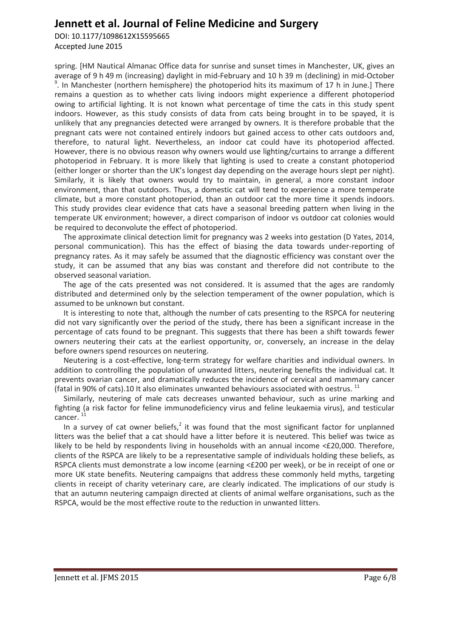DOI: 10.1177/1098612X15595665 Accepted June 2015

spring. [HM Nautical Almanac Office data for sunrise and sunset times in Manchester, UK, gives an average of 9 h 49 m (increasing) daylight in mid-February and 10 h 39 m (declining) in mid-October  $9$ . In Manchester (northern hemisphere) the photoperiod hits its maximum of 17 h in June.] There remains a question as to whether cats living indoors might experience a different photoperiod owing to artificial lighting. It is not known what percentage of time the cats in this study spent indoors. However, as this study consists of data from cats being brought in to be spayed, it is unlikely that any pregnancies detected were arranged by owners. It is therefore probable that the pregnant cats were not contained entirely indoors but gained access to other cats outdoors and, therefore, to natural light. Nevertheless, an indoor cat could have its photoperiod affected. However, there is no obvious reason why owners would use lighting/curtains to arrange a different photoperiod in February. It is more likely that lighting is used to create a constant photoperiod (either longer or shorter than the UK's longest day depending on the average hours slept per night). Similarly, it is likely that owners would try to maintain, in general, a more constant indoor environment, than that outdoors. Thus, a domestic cat will tend to experience a more temperate climate, but a more constant photoperiod, than an outdoor cat the more time it spends indoors. This study provides clear evidence that cats have a seasonal breeding pattern when living in the temperate UK environment; however, a direct comparison of indoor vs outdoor cat colonies would be required to deconvolute the effect of photoperiod.

The approximate clinical detection limit for pregnancy was 2 weeks into gestation (D Yates, 2014, personal communication). This has the effect of biasing the data towards under-reporting of pregnancy rates. As it may safely be assumed that the diagnostic efficiency was constant over the study, it can be assumed that any bias was constant and therefore did not contribute to the observed seasonal variation.

The age of the cats presented was not considered. It is assumed that the ages are randomly distributed and determined only by the selection temperament of the owner population, which is assumed to be unknown but constant.

It is interesting to note that, although the number of cats presenting to the RSPCA for neutering did not vary significantly over the period of the study, there has been a significant increase in the percentage of cats found to be pregnant. This suggests that there has been a shift towards fewer owners neutering their cats at the earliest opportunity, or, conversely, an increase in the delay before owners spend resources on neutering.

Neutering is a cost-effective, long-term strategy for welfare charities and individual owners. In addition to controlling the population of unwanted litters, neutering benefits the individual cat. It prevents ovarian cancer, and dramatically reduces the incidence of cervical and mammary cancer (fatal in 90% of cats).10 It also eliminates unwanted behaviours associated with oestrus.<sup>11</sup>

Similarly, neutering of male cats decreases unwanted behaviour, such as urine marking and fighting (a risk factor for feline immunodeficiency virus and feline leukaemia virus), and testicular cancer.

In a survey of cat owner beliefs,<sup>2</sup> it was found that the most significant factor for unplanned litters was the belief that a cat should have a litter before it is neutered. This belief was twice as likely to be held by respondents living in households with an annual income <£20,000. Therefore, clients of the RSPCA are likely to be a representative sample of individuals holding these beliefs, as RSPCA clients must demonstrate a low income (earning <£200 per week), or be in receipt of one or more UK state benefits. Neutering campaigns that address these commonly held myths, targeting clients in receipt of charity veterinary care, are clearly indicated. The implications of our study is that an autumn neutering campaign directed at clients of animal welfare organisations, such as the RSPCA, would be the most effective route to the reduction in unwanted litters.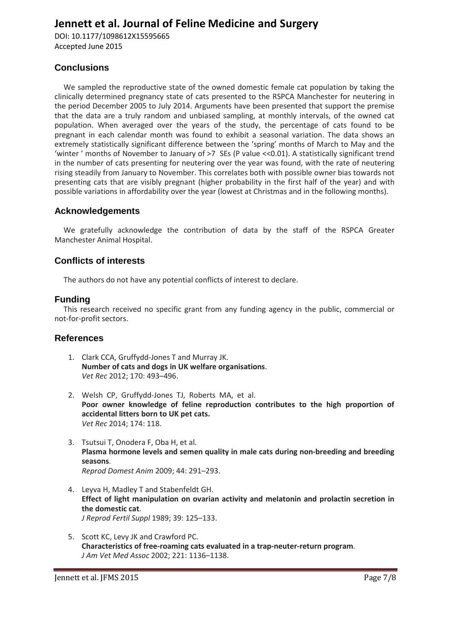DOI: 10.1177/1098612X15595665 Accepted June 2015

## **Conclusions**

We sampled the reproductive state of the owned domestic female cat population by taking the clinically determined pregnancy state of cats presented to the RSPCA Manchester for neutering in the period December 2005 to July 2014. Arguments have been presented that support the premise that the data are a truly random and unbiased sampling, at monthly intervals, of the owned cat population. When averaged over the years of the study, the percentage of cats found to be pregnant in each calendar month was found to exhibit a seasonal variation. The data shows an extremely statistically significant difference between the 'spring' months of March to May and the 'winter ' months of November to January of >7 SEs (P value <<0.01). A statistically significant trend in the number of cats presenting for neutering over the year was found, with the rate of neutering rising steadily from January to November. This correlates both with possible owner bias towards not presenting cats that are visibly pregnant (higher probability in the first half of the year) and with possible variations in affordability over the year (lowest at Christmas and in the following months).

### **Acknowledgements**

We gratefully acknowledge the contribution of data by the staff of the RSPCA Greater Manchester Animal Hospital.

### **Conflicts of interests**

The authors do not have any potential conflicts of interest to declare.

#### **Funding**

This research received no specific grant from any funding agency in the public, commercial or not-for-profit sectors.

#### **References**

- 1. Clark CCA, Gruffydd-Jones T and Murray JK. **Number of cats and dogs in UK welfare organisations**. *Vet Rec* 2012; 170: 493–496.
- 2. Welsh CP, Gruffydd-Jones TJ, Roberts MA, et al. **Poor owner knowledge of feline reproduction contributes to the high proportion of accidental litters born to UK pet cats.**  *Vet Rec* 2014; 174: 118.
- 3. Tsutsui T, Onodera F, Oba H, et al. **Plasma hormone levels and semen quality in male cats during non-breeding and breeding seasons**. *Reprod Domest Anim* 2009; 44: 291–293.
- 4. Leyva H, Madley T and Stabenfeldt GH. **Effect of light manipulation on ovarian activity and melatonin and prolactin secretion in the domestic cat**. *J Reprod Fertil Suppl* 1989; 39: 125–133.
- 5. Scott KC, Levy JK and Crawford PC. **Characteristics of free-roaming cats evaluated in a trap-neuter-return program**. *J Am Vet Med Assoc* 2002; 221: 1136–1138.